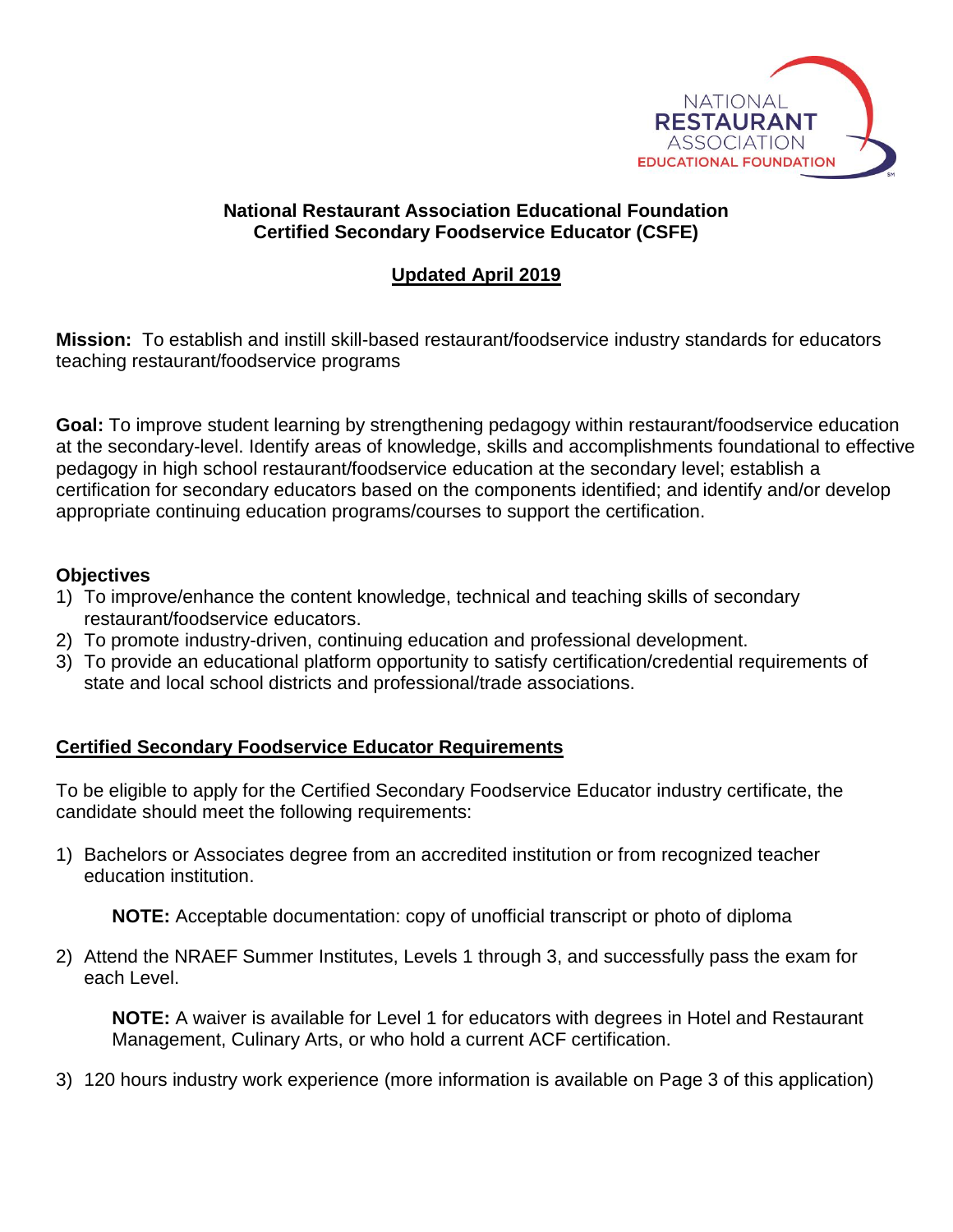

## **National Restaurant Association Educational Foundation Certified Secondary Foodservice Educator (CSFE)**

## **Updated April 2019**

**Mission:** To establish and instill skill-based restaurant/foodservice industry standards for educators teaching restaurant/foodservice programs

**Goal:** To improve student learning by strengthening pedagogy within restaurant/foodservice education at the secondary-level. Identify areas of knowledge, skills and accomplishments foundational to effective pedagogy in high school restaurant/foodservice education at the secondary level; establish a certification for secondary educators based on the components identified; and identify and/or develop appropriate continuing education programs/courses to support the certification.

## **Objectives**

- 1) To improve/enhance the content knowledge, technical and teaching skills of secondary restaurant/foodservice educators.
- 2) To promote industry-driven, continuing education and professional development.
- 3) To provide an educational platform opportunity to satisfy certification/credential requirements of state and local school districts and professional/trade associations.

## **Certified Secondary Foodservice Educator Requirements**

To be eligible to apply for the Certified Secondary Foodservice Educator industry certificate, the candidate should meet the following requirements:

1) Bachelors or Associates degree from an accredited institution or from recognized teacher education institution.

**NOTE:** Acceptable documentation: copy of unofficial transcript or photo of diploma

2) Attend the NRAEF Summer Institutes, Levels 1 through 3, and successfully pass the exam for each Level.

**NOTE:** A waiver is available for Level 1 for educators with degrees in Hotel and Restaurant Management, Culinary Arts, or who hold a current ACF certification.

3) 120 hours industry work experience (more information is available on Page 3 of this application)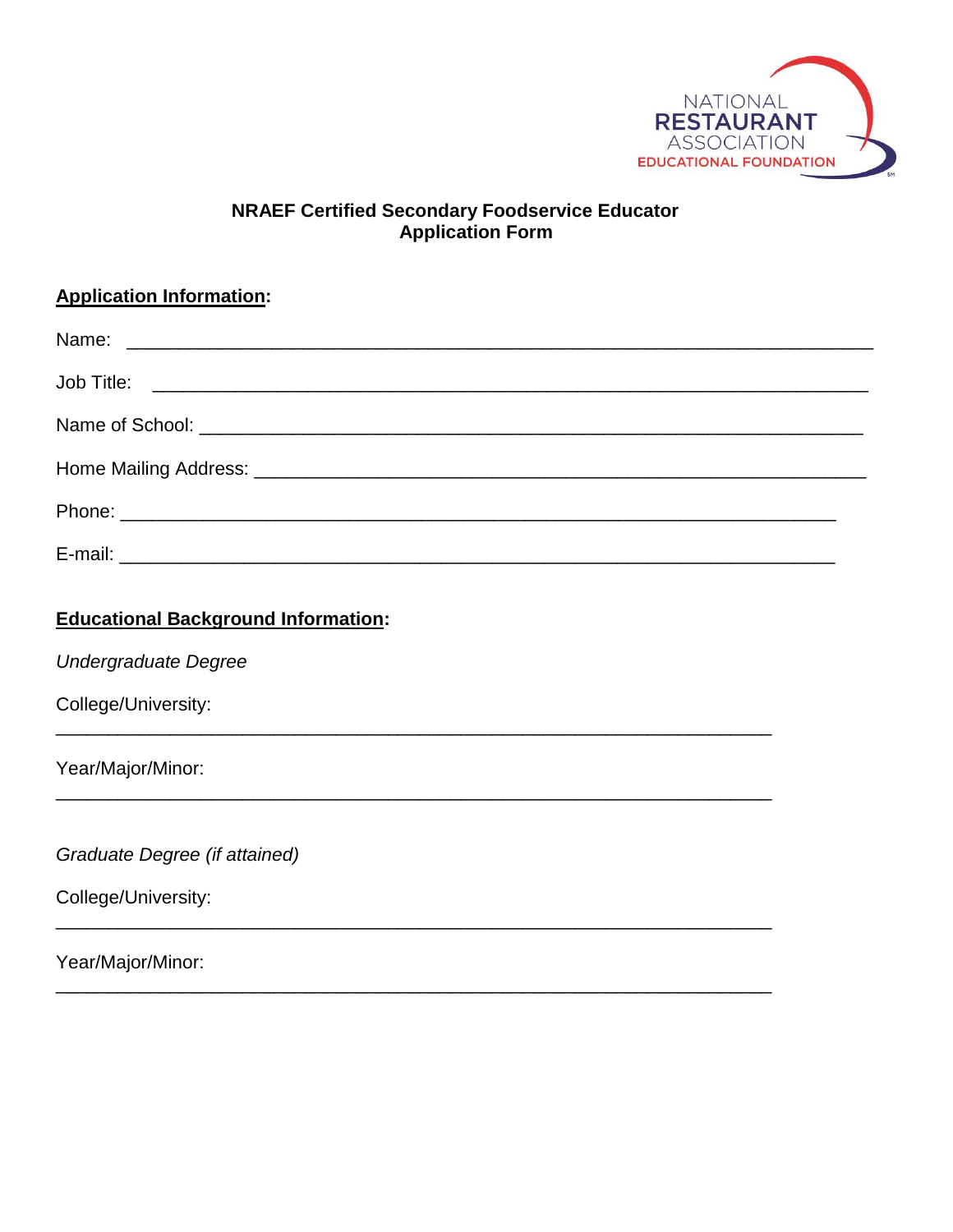

# **NRAEF Certified Secondary Foodservice Educator Application Form**

# **Application Information:**

# **Educational Background Information:**

Undergraduate Degree

College/University:

Year/Major/Minor:

Graduate Degree (if attained)

College/University:

Year/Major/Minor: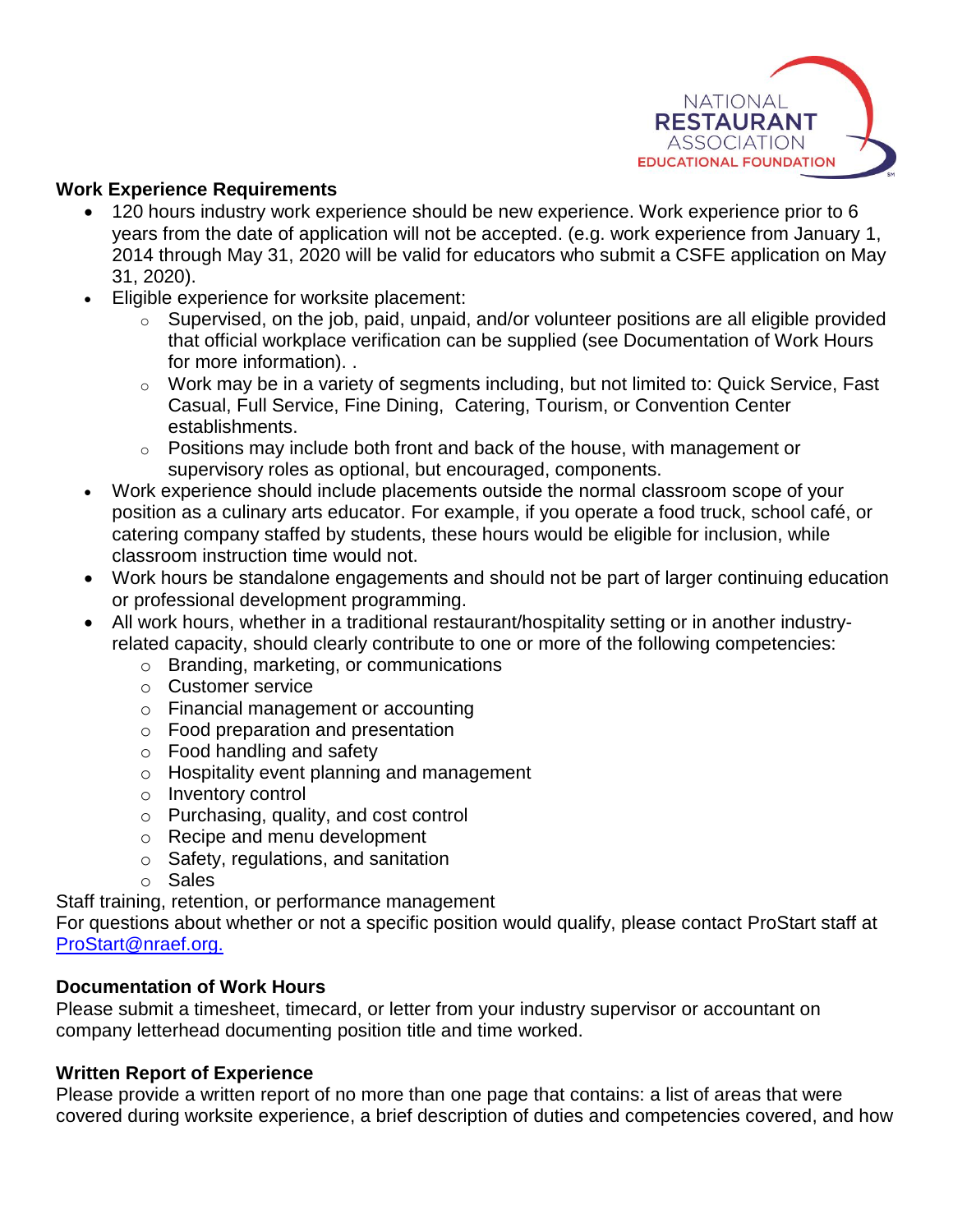

## **Work Experience Requirements**

- 120 hours industry work experience should be new experience. Work experience prior to 6 years from the date of application will not be accepted. (e.g. work experience from January 1, 2014 through May 31, 2020 will be valid for educators who submit a CSFE application on May 31, 2020).
- Eligible experience for worksite placement:
	- o Supervised, on the job, paid, unpaid, and/or volunteer positions are all eligible provided that official workplace verification can be supplied (see Documentation of Work Hours for more information). .
	- o Work may be in a variety of segments including, but not limited to: Quick Service, Fast Casual, Full Service, Fine Dining, Catering, Tourism, or Convention Center establishments.
	- $\circ$  Positions may include both front and back of the house, with management or supervisory roles as optional, but encouraged, components.
- Work experience should include placements outside the normal classroom scope of your position as a culinary arts educator. For example, if you operate a food truck, school café, or catering company staffed by students, these hours would be eligible for inclusion, while classroom instruction time would not.
- Work hours be standalone engagements and should not be part of larger continuing education or professional development programming.
- All work hours, whether in a traditional restaurant/hospitality setting or in another industryrelated capacity, should clearly contribute to one or more of the following competencies:
	- o Branding, marketing, or communications
	- o Customer service
	- o Financial management or accounting
	- o Food preparation and presentation
	- o Food handling and safety
	- o Hospitality event planning and management
	- o Inventory control
	- o Purchasing, quality, and cost control
	- o Recipe and menu development
	- o Safety, regulations, and sanitation
	- o Sales

Staff training, retention, or performance management

For questions about whether or not a specific position would qualify, please contact ProStart staff at [ProStart@nraef.org.](mailto:ProStart@nraef.org.)

## **Documentation of Work Hours**

Please submit a timesheet, timecard, or letter from your industry supervisor or accountant on company letterhead documenting position title and time worked.

## **Written Report of Experience**

Please provide a written report of no more than one page that contains: a list of areas that were covered during worksite experience, a brief description of duties and competencies covered, and how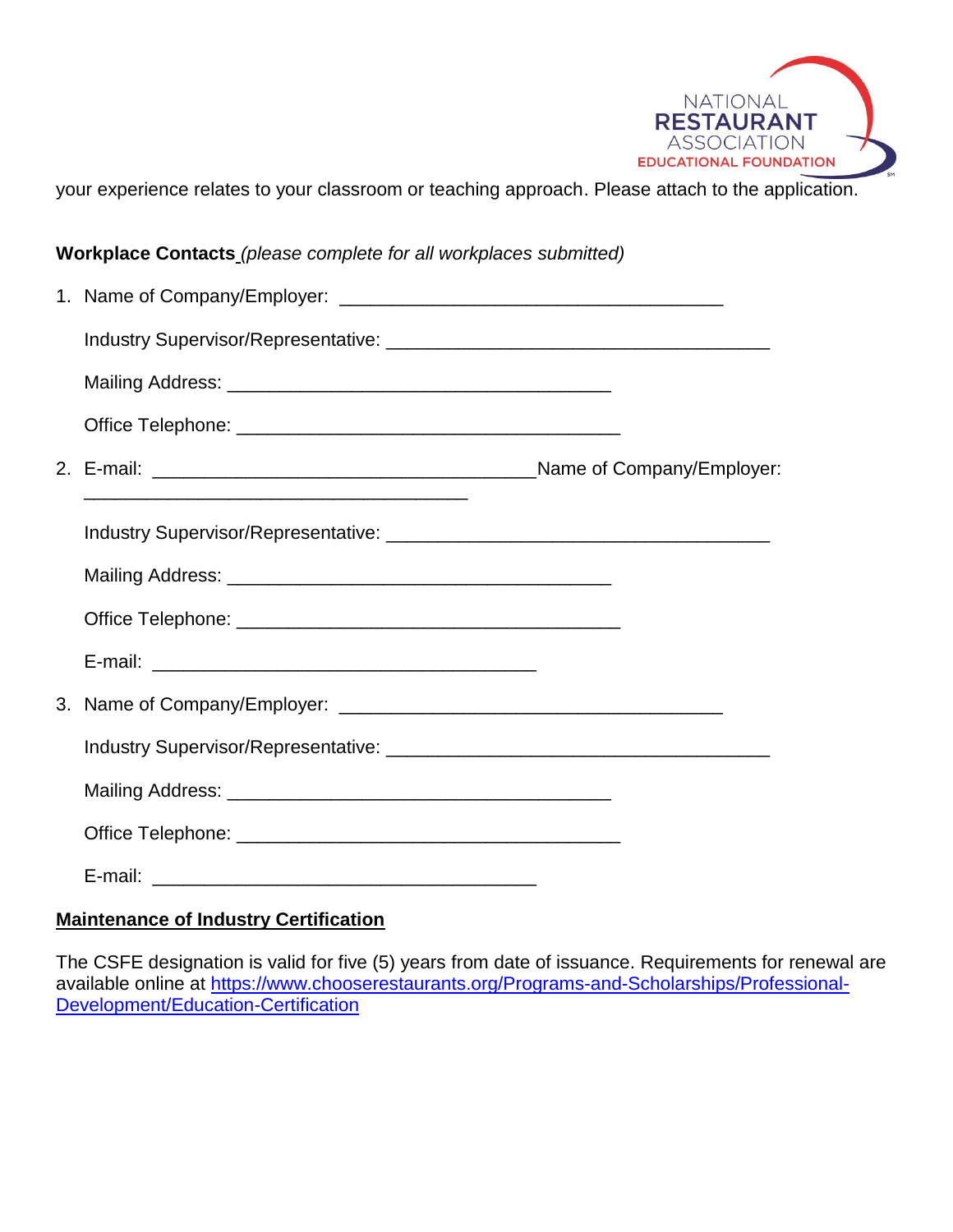

your experience relates to your classroom or teaching approach. Please attach to the application.

| Workplace Contacts_(please complete for all workplaces submitted) |  |  |  |
|-------------------------------------------------------------------|--|--|--|
|                                                                   |  |  |  |
|                                                                   |  |  |  |
|                                                                   |  |  |  |
|                                                                   |  |  |  |
|                                                                   |  |  |  |
|                                                                   |  |  |  |
|                                                                   |  |  |  |
|                                                                   |  |  |  |
|                                                                   |  |  |  |
|                                                                   |  |  |  |
|                                                                   |  |  |  |
|                                                                   |  |  |  |
|                                                                   |  |  |  |
|                                                                   |  |  |  |
|                                                                   |  |  |  |

## **Maintenance of Industry Certification**

The CSFE designation is valid for five (5) years from date of issuance. Requirements for renewal are available online at [https://www.chooserestaurants.org/Programs-and-Scholarships/Professional-](https://www.chooserestaurants.org/Programs-and-Scholarships/Professional-Development/Education-Certification)[Development/Education-Certification](https://www.chooserestaurants.org/Programs-and-Scholarships/Professional-Development/Education-Certification)